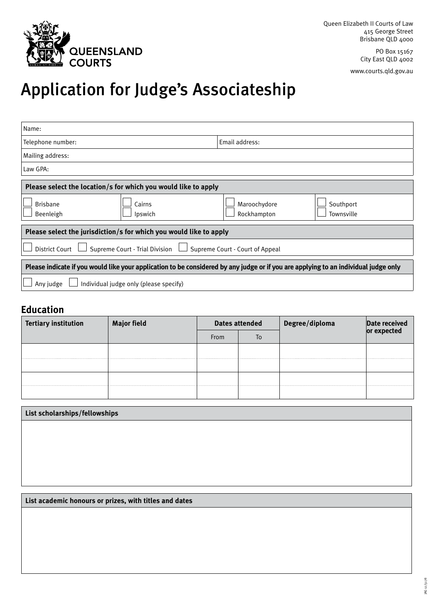

PO Box 15167 City East QLD 4002 www.courts.qld.gov.au

# Application for Judge's Associateship

| Name:                                                                                                                               |                             |                         |  |  |  |  |
|-------------------------------------------------------------------------------------------------------------------------------------|-----------------------------|-------------------------|--|--|--|--|
| Telephone number:                                                                                                                   | Email address:              |                         |  |  |  |  |
| Mailing address:                                                                                                                    |                             |                         |  |  |  |  |
| Law GPA:                                                                                                                            |                             |                         |  |  |  |  |
| Please select the location/s for which you would like to apply                                                                      |                             |                         |  |  |  |  |
| <b>Brisbane</b><br>Cairns<br>Beenleigh<br>Ipswich                                                                                   | Maroochydore<br>Rockhampton | Southport<br>Townsville |  |  |  |  |
| Please select the jurisdiction/s for which you would like to apply                                                                  |                             |                         |  |  |  |  |
| Supreme Court - Trial Division<br><b>District Court</b><br>Supreme Court - Court of Appeal                                          |                             |                         |  |  |  |  |
| Please indicate if you would like your application to be considered by any judge or if you are applying to an individual judge only |                             |                         |  |  |  |  |
| Individual judge only (please specify)<br>Any judge                                                                                 |                             |                         |  |  |  |  |

## **Education**

| <b>Tertiary institution</b> | <b>Major field</b> | <b>Dates attended</b> |    | Degree/diploma | Date received |
|-----------------------------|--------------------|-----------------------|----|----------------|---------------|
|                             |                    | <b>From</b>           | To |                | or expected   |
|                             |                    |                       |    |                |               |
|                             |                    |                       |    |                |               |
|                             |                    |                       |    |                |               |
|                             |                    |                       |    |                |               |

| List scholarships/fellowships |  |  |  |  |  |
|-------------------------------|--|--|--|--|--|
|                               |  |  |  |  |  |
|                               |  |  |  |  |  |
|                               |  |  |  |  |  |
|                               |  |  |  |  |  |

**List academic honours or prizes, with titles and dates**